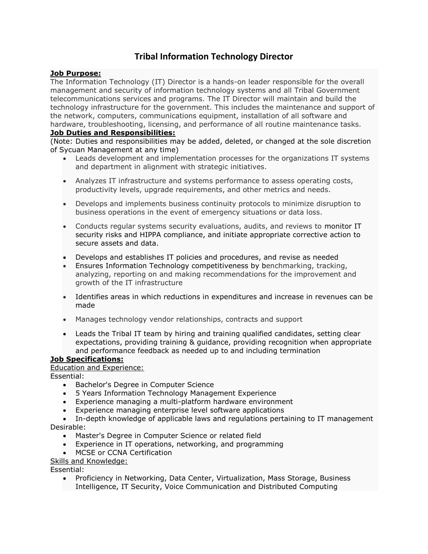# **Tribal Information Technology Director**

## **Job Purpose:**

The Information Technology (IT) Director is a hands-on leader responsible for the overall management and security of information technology systems and all Tribal Government telecommunications services and programs. The IT Director will maintain and build the technology infrastructure for the government. This includes the maintenance and support of the network, computers, communications equipment, installation of all software and hardware, troubleshooting, licensing, and performance of all routine maintenance tasks.

## **Job Duties and Responsibilities:**

(Note: Duties and responsibilities may be added, deleted, or changed at the sole discretion of Sycuan Management at any time)

- Leads development and implementation processes for the organizations IT systems and department in alignment with strategic initiatives.
- Analyzes IT infrastructure and systems performance to assess operating costs, productivity levels, upgrade requirements, and other metrics and needs.
- Develops and implements business continuity protocols to minimize disruption to business operations in the event of emergency situations or data loss.
- Conducts regular systems security evaluations, audits, and reviews to monitor IT security risks and HIPPA compliance, and initiate appropriate corrective action to secure assets and data.
- Develops and establishes IT policies and procedures, and revise as needed
- Ensures Information Technology competitiveness by benchmarking, tracking, analyzing, reporting on and making recommendations for the improvement and growth of the IT infrastructure
- Identifies areas in which reductions in expenditures and increase in revenues can be made
- Manages technology vendor relationships, contracts and support
- Leads the Tribal IT team by hiring and training qualified candidates, setting clear expectations, providing training & guidance, providing recognition when appropriate and performance feedback as needed up to and including termination

### **Job Specifications:**

Education and Experience:

Essential:

- Bachelor's Degree in Computer Science
- 5 Years Information Technology Management Experience
- Experience managing a multi-platform hardware environment
- Experience managing enterprise level software applications
- In-depth knowledge of applicable laws and regulations pertaining to IT management Desirable:
	- Master's Degree in Computer Science or related field
	- Experience in IT operations, networking, and programming
	- MCSE or CCNA Certification
- Skills and Knowledge:

Essential:

• Proficiency in Networking, Data Center, Virtualization, Mass Storage, Business Intelligence, IT Security, Voice Communication and Distributed Computing